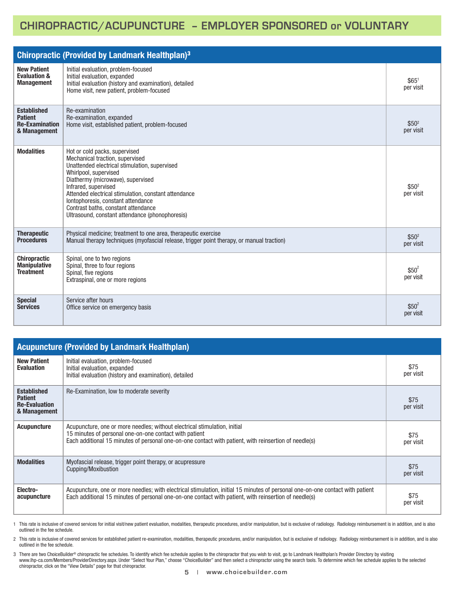## **CHIROPRACTIC/ACUPUNCTURE – EMPLOYER SPONSORED or VOLUNTARY**

| <b>Chiropractic (Provided by Landmark Healthplan)3</b>                        |                                                                                                                                                                                                                                                                                                                                                                                                 |                                |  |  |
|-------------------------------------------------------------------------------|-------------------------------------------------------------------------------------------------------------------------------------------------------------------------------------------------------------------------------------------------------------------------------------------------------------------------------------------------------------------------------------------------|--------------------------------|--|--|
| <b>New Patient</b><br><b>Evaluation &amp;</b><br><b>Management</b>            | Initial evaluation, problem-focused<br>Initial evaluation, expanded<br>Initial evaluation (history and examination), detailed<br>Home visit, new patient, problem-focused                                                                                                                                                                                                                       | \$65 <sup>1</sup><br>per visit |  |  |
| <b>Established</b><br><b>Patient</b><br><b>Re-Examination</b><br>& Management | Re-examination<br>Re-examination, expanded<br>Home visit, established patient, problem-focused                                                                                                                                                                                                                                                                                                  | \$50 <sup>2</sup><br>per visit |  |  |
| <b>Modalities</b>                                                             | Hot or cold packs, supervised<br>Mechanical traction, supervised<br>Unattended electrical stimulation, supervised<br>Whirlpool, supervised<br>Diathermy (microwave), supervised<br>Infrared, supervised<br>Attended electrical stimulation, constant attendance<br>lontophoresis, constant attendance<br>Contrast baths, constant attendance<br>Ultrasound, constant attendance (phonophoresis) | \$50 <sup>2</sup><br>per visit |  |  |
| <b>Therapeutic</b><br><b>Procedures</b>                                       | Physical medicine; treatment to one area, therapeutic exercise<br>Manual therapy techniques (myofascial release, trigger point therapy, or manual traction)                                                                                                                                                                                                                                     | \$50 <sup>2</sup><br>per visit |  |  |
| <b>Chiropractic</b><br><b>Manipulative</b><br><b>Treatment</b>                | Spinal, one to two regions<br>Spinal, three to four regions<br>Spinal, five regions<br>Extraspinal, one or more regions                                                                                                                                                                                                                                                                         | $$50^2$<br>per visit           |  |  |
| <b>Special</b><br><b>Services</b>                                             | Service after hours<br>Office service on emergency basis                                                                                                                                                                                                                                                                                                                                        | $$50^2$<br>per visit           |  |  |

| <b>Acupuncture (Provided by Landmark Healthplan)</b>                         |                                                                                                                                                                                                                                              |                   |  |  |  |
|------------------------------------------------------------------------------|----------------------------------------------------------------------------------------------------------------------------------------------------------------------------------------------------------------------------------------------|-------------------|--|--|--|
| <b>New Patient</b><br><b>Evaluation</b>                                      | Initial evaluation, problem-focused<br>Initial evaluation, expanded<br>Initial evaluation (history and examination), detailed                                                                                                                | \$75<br>per visit |  |  |  |
| <b>Established</b><br><b>Patient</b><br><b>Re-Evaluation</b><br>& Management | Re-Examination, low to moderate severity                                                                                                                                                                                                     | \$75<br>per visit |  |  |  |
| <b>Acupuncture</b>                                                           | Acupuncture, one or more needles; without electrical stimulation, initial<br>15 minutes of personal one-on-one contact with patient<br>Each additional 15 minutes of personal one-on-one contact with patient, with reinsertion of needle(s) | \$75<br>per visit |  |  |  |
| <b>Modalities</b>                                                            | Myofascial release, trigger point therapy, or acupressure<br>Cupping/Moxibustion                                                                                                                                                             | \$75<br>per visit |  |  |  |
| Electro-<br>acupuncture                                                      | Acupuncture, one or more needles; with electrical stimulation, initial 15 minutes of personal one-on-one contact with patient<br>Each additional 15 minutes of personal one-on-one contact with patient, with reinsertion of needle(s)       | \$75<br>per visit |  |  |  |

1 This rate is inclusive of covered services for initial visit/new patient evaluation, modalities, therapeutic procedures, and/or manipulation, but is exclusive of radiology. Radiology reimbursement is in addition, and is outlined in the fee schedule.

2 This rate is inclusive of covered services for established patient re-examination, modalities, therapeutic procedures, and/or manipulation, but is exclusive of radiology. Radiology reimbursement is in addition, and is also outlined in the fee schedule.

3 There are two ChoiceBuilder® chiropractic fee schedules. To identify which fee schedule applies to the chiropractor that you wish to visit, go to Landmark Healthplan's Provider Directory by visiting www.lhp-ca.com/Members/ProviderDirectory.aspx. Under "Select Your Plan," choose "ChoiceBuilder" and then select a chiropractor using the search tools. To determine which fee schedule applies to the selected chiropractor, click on the "View Details" page for that chiropractor.